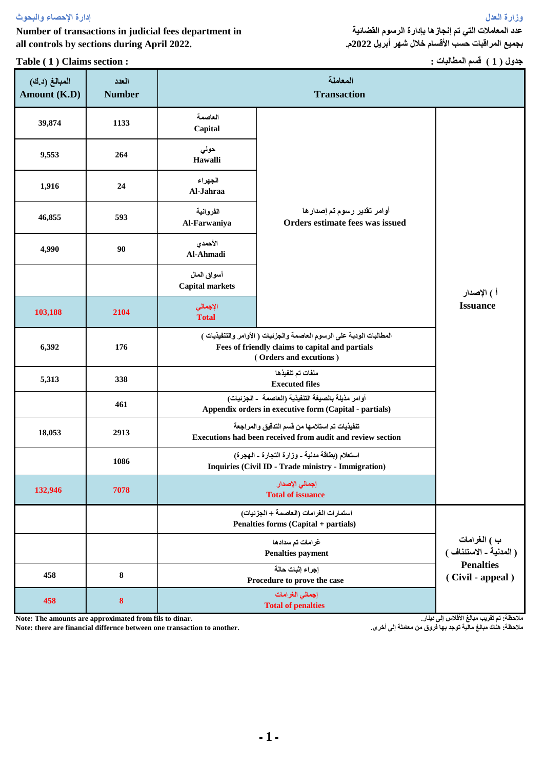**وزارة العدل إدارة اإلحصاء والبحوث**

**Number of transactions in judicial fees department in all controls by sections during April 2022.**

**Table ( 1 ) Claims section :**

**عدد المعامالت التي تم إنجازها بإدارة الرسوم القضائية بجميع المراقبات حسب األقسام خالل شهر أبريل 2022م.**

**جدول ) 1 ( قسم المطالبات :**

| المبالغ (د.ك)<br>Amount (K.D) | العدد<br><b>Number</b> | المعاملة<br><b>Transaction</b>                                                                                                                     |                                                                                |                                      |  |  |
|-------------------------------|------------------------|----------------------------------------------------------------------------------------------------------------------------------------------------|--------------------------------------------------------------------------------|--------------------------------------|--|--|
| 39,874                        | 1133                   | العاصمة<br>Capital                                                                                                                                 |                                                                                |                                      |  |  |
| 9,553                         | 264                    | حولى<br>Hawalli                                                                                                                                    |                                                                                |                                      |  |  |
| 1,916                         | 24                     | الجهراء<br>Al-Jahraa                                                                                                                               |                                                                                |                                      |  |  |
| 46,855                        | 593                    | الفروانية<br>Al-Farwaniya                                                                                                                          | أوامر تقدير رسوم تم إصدارها<br>Orders estimate fees was issued                 |                                      |  |  |
| 4,990                         | 90                     | الأحمدي<br>Al-Ahmadi                                                                                                                               |                                                                                | أ ) الإصدار                          |  |  |
|                               |                        | أسواق المال<br><b>Capital markets</b>                                                                                                              |                                                                                |                                      |  |  |
| 103,188                       | 2104                   | الإجمالي<br><b>Total</b>                                                                                                                           |                                                                                | <b>Issuance</b>                      |  |  |
| 6,392                         | 176                    | المطالبات الودية على الرسوم العاصمة والجزئيات ( الأوامر والتنفيذيات )<br>Fees of friendly claims to capital and partials<br>(Orders and excutions) |                                                                                |                                      |  |  |
| 5,313                         | 338                    |                                                                                                                                                    |                                                                                |                                      |  |  |
|                               | 461                    | أوامر مذيلة بالصيغة التنفيذية (العاصمة  ـ الجزئيات)<br>Appendix orders in executive form (Capital - partials)                                      |                                                                                |                                      |  |  |
| 18,053                        | 2913                   | تنفيذيات تم استلامها من قسم التدقيق والمراجعة<br>Executions had been received from audit and review section                                        |                                                                                |                                      |  |  |
|                               | 1086                   | استعلام (بطاقة مدنية ـ وزارة التجارة ـ الهجرة)<br>Inquiries (Civil ID - Trade ministry - Immigration)                                              |                                                                                |                                      |  |  |
| 132,946                       | 7078                   |                                                                                                                                                    |                                                                                |                                      |  |  |
|                               |                        |                                                                                                                                                    | استمارات الغرامات (العاصمة + الجزئيات)<br>Penalties forms (Capital + partials) |                                      |  |  |
|                               |                        |                                                                                                                                                    | ب ) الغرامات<br>( المدنية ـ الاستئناف )                                        |                                      |  |  |
| 458                           | 8                      |                                                                                                                                                    | إجراء إثبات حالة<br>Procedure to prove the case                                | <b>Penalties</b><br>(Civil - appeal) |  |  |
| 458                           | 8                      |                                                                                                                                                    |                                                                                |                                      |  |  |

**Note: The amounts are approximated from fils to dinar.**

**Note: there are financial differnce between one transaction to another.**

**مالحظة: تم تقريب مبالغ األفالس إلى دينار.**

**مالحظة: هناك مبالغ مالية توجد بها فروق من معاملة إلى أخرى.**

**ـ 1 ـ**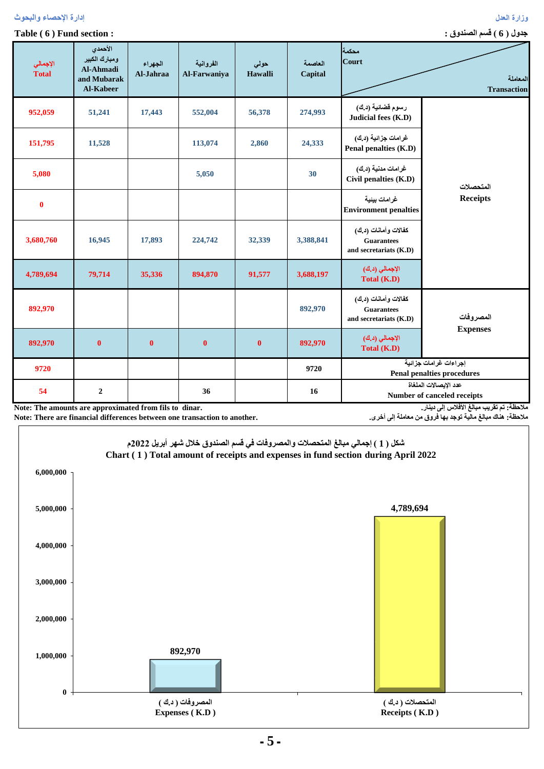| رسوم قضائية (د.ك)<br>952,059<br>51,241<br>17,443<br>56,378<br>552,004<br>274,993<br>Judicial fees (K.D)<br>غرامات جزائية (د.ك)<br>151,795<br>24,333<br>11,528<br>113,074<br>2,860<br>Penal penalties (K.D)<br>غرامات مدنية (د.ك)<br>5,080<br>5,050<br>30<br>Civil penalties (K.D)<br>المتحصلات<br><b>Receipts</b><br>غرامات بيئية<br>$\bf{0}$<br><b>Environment penalties</b><br>كفالات وأمانات (د.ك)<br>3,680,760<br>16,945<br>17,893<br>32,339<br>224,742<br>3,388,841<br><b>Guarantees</b><br>and secretariats (K.D)<br>الإجمالي (د.ك)<br>4,789,694<br>79,714<br>35,336<br>894,870<br>91,577<br>3,688,197<br>Total (K.D)<br>كفالات وأمانات (د.ك)<br>892,970<br>892,970<br><b>Guarantees</b><br>المصروفات<br>and secretariats (K.D)<br><b>Expenses</b><br>الإجمالي (د.ك)<br>$\bf{0}$<br>$\bf{0}$<br>$\bf{0}$<br>$\bf{0}$<br>892,970<br>892,970<br>Total (K.D)<br>إجراءات غرامات جزائية<br>9720<br>9720<br><b>Penal penalties procedures</b><br>عدد الإيصالات الملغاة<br>54<br>$\overline{2}$<br>36<br>16<br>Number of canceled receipts<br>ملاحظة: تم تقريب مبالغ الأفلاس إلى دينار.<br>Note: The amounts are approximated from fils to dinar. | المعاملة<br><b>Transaction</b> | محكمة<br>Court | العاصمة<br>Capital | حولى<br>Hawalli | الفروانية<br>Al-Farwaniya | الجهراء<br>Al-Jahraa | الأحمدي<br>ومبارك الكبير<br><b>Al-Ahmadi</b><br>and Mubarak<br>Al-Kabeer | الإجمالي<br>Total |
|--------------------------------------------------------------------------------------------------------------------------------------------------------------------------------------------------------------------------------------------------------------------------------------------------------------------------------------------------------------------------------------------------------------------------------------------------------------------------------------------------------------------------------------------------------------------------------------------------------------------------------------------------------------------------------------------------------------------------------------------------------------------------------------------------------------------------------------------------------------------------------------------------------------------------------------------------------------------------------------------------------------------------------------------------------------------------------------------------------------------------------------------------|--------------------------------|----------------|--------------------|-----------------|---------------------------|----------------------|--------------------------------------------------------------------------|-------------------|
|                                                                                                                                                                                                                                                                                                                                                                                                                                                                                                                                                                                                                                                                                                                                                                                                                                                                                                                                                                                                                                                                                                                                                  |                                |                |                    |                 |                           |                      |                                                                          |                   |
|                                                                                                                                                                                                                                                                                                                                                                                                                                                                                                                                                                                                                                                                                                                                                                                                                                                                                                                                                                                                                                                                                                                                                  |                                |                |                    |                 |                           |                      |                                                                          |                   |
|                                                                                                                                                                                                                                                                                                                                                                                                                                                                                                                                                                                                                                                                                                                                                                                                                                                                                                                                                                                                                                                                                                                                                  |                                |                |                    |                 |                           |                      |                                                                          |                   |
|                                                                                                                                                                                                                                                                                                                                                                                                                                                                                                                                                                                                                                                                                                                                                                                                                                                                                                                                                                                                                                                                                                                                                  |                                |                |                    |                 |                           |                      |                                                                          |                   |
|                                                                                                                                                                                                                                                                                                                                                                                                                                                                                                                                                                                                                                                                                                                                                                                                                                                                                                                                                                                                                                                                                                                                                  |                                |                |                    |                 |                           |                      |                                                                          |                   |
|                                                                                                                                                                                                                                                                                                                                                                                                                                                                                                                                                                                                                                                                                                                                                                                                                                                                                                                                                                                                                                                                                                                                                  |                                |                |                    |                 |                           |                      |                                                                          |                   |
|                                                                                                                                                                                                                                                                                                                                                                                                                                                                                                                                                                                                                                                                                                                                                                                                                                                                                                                                                                                                                                                                                                                                                  |                                |                |                    |                 |                           |                      |                                                                          |                   |
|                                                                                                                                                                                                                                                                                                                                                                                                                                                                                                                                                                                                                                                                                                                                                                                                                                                                                                                                                                                                                                                                                                                                                  |                                |                |                    |                 |                           |                      |                                                                          |                   |
|                                                                                                                                                                                                                                                                                                                                                                                                                                                                                                                                                                                                                                                                                                                                                                                                                                                                                                                                                                                                                                                                                                                                                  |                                |                |                    |                 |                           |                      |                                                                          |                   |
|                                                                                                                                                                                                                                                                                                                                                                                                                                                                                                                                                                                                                                                                                                                                                                                                                                                                                                                                                                                                                                                                                                                                                  |                                |                |                    |                 |                           |                      |                                                                          |                   |

**Note: The amounts are approximated from fils to dinar. Note: There are financial differences between one transaction to another.**

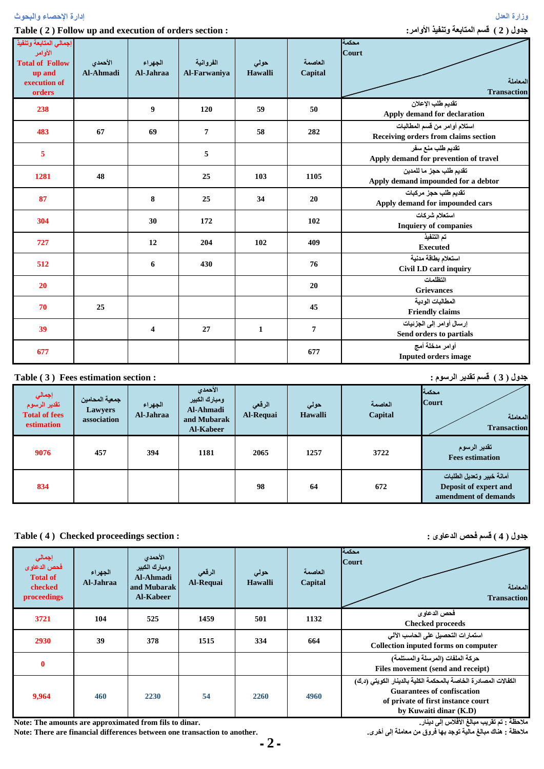| جدول ( 2 ) قسم المتابعة وتنفيذ الأوامر:<br>Table (2) Follow up and execution of orders section: |                      |                      |                           |                 |                    |                                                                       |  |
|-------------------------------------------------------------------------------------------------|----------------------|----------------------|---------------------------|-----------------|--------------------|-----------------------------------------------------------------------|--|
| إجمالي المتابعة وتنفيذ<br>الأوامر<br><b>Total of Follow</b><br>up and<br>execution of<br>orders | الأحمدي<br>Al-Ahmadi | الجهراء<br>Al-Jahraa | الفروانية<br>Al-Farwaniya | حولى<br>Hawalli | العاصمة<br>Capital | محكمة<br><b>Court</b><br>المعاملة<br><b>Transaction</b>               |  |
| 238                                                                                             |                      | 9                    | 120                       | 59              | 50                 | تقديم طلب الإعلان<br>Apply demand for declaration                     |  |
| 483                                                                                             | 67                   | 69                   | $\overline{7}$            | 58              | 282                | استلام أوامر من قسم المطالبات<br>Receiving orders from claims section |  |
| 5                                                                                               |                      |                      | 5                         |                 |                    | تقديم طلب منع سفر<br>Apply demand for prevention of travel            |  |
| 1281                                                                                            | 48                   |                      | 25                        | 103             | 1105               | تقديم طلب حجز ما للمدين<br>Apply demand impounded for a debtor        |  |
| 87                                                                                              |                      | 8                    | 25                        | 34              | 20                 | تقديم طلب حجز مركبات<br>Apply demand for impounded cars               |  |
| 304                                                                                             |                      | 30                   | 172                       |                 | 102                | استعلام شركات<br><b>Inquiery of companies</b>                         |  |
| 727                                                                                             |                      | 12                   | 204                       | 102             | 409                | تم التنفيذ<br><b>Executed</b>                                         |  |
| 512                                                                                             |                      | 6                    | 430                       |                 | 76                 | استعلام بطاقة مدنية<br>Civil I.D card inquiry                         |  |
| 20                                                                                              |                      |                      |                           |                 | 20                 | التظلمات<br><b>Grievances</b>                                         |  |
| 70                                                                                              | 25                   |                      |                           |                 | 45                 | المطالبات الودية<br><b>Friendly claims</b>                            |  |
| 39                                                                                              |                      | 4                    | 27                        | $\mathbf{1}$    | $\overline{7}$     | إرسال أوامر إلى الجزئيات<br>Send orders to partials                   |  |
| 677                                                                                             |                      |                      |                           |                 | 677                | أوامر مدخلة أمج<br><b>Inputed orders image</b>                        |  |
| جدول ( 3 ) قسم تقدير الرسوم :<br>Table (3) Fees estimation section :                            |                      |                      |                           |                 |                    |                                                                       |  |

**وزارة العدل إدارة اإلحصاء والبحوث**

| إجمال <i>ي</i><br>تقدير الرسوم<br><b>Total of fees</b><br>estimation | جمعية المحامين<br>Lawyers<br>association | الجهراء<br>Al-Jahraa | الأحمدى<br>ومبارك الكبير<br>Al-Ahmadi<br>and Mubarak<br>Al-Kabeer | الرقعي<br>Al-Requai | حولى<br><b>Hawalli</b> | العاصمة<br>Capital | محكمة<br><b>Court</b><br>المعاملة<br><b>Transaction</b>                    |
|----------------------------------------------------------------------|------------------------------------------|----------------------|-------------------------------------------------------------------|---------------------|------------------------|--------------------|----------------------------------------------------------------------------|
| 9076                                                                 | 457                                      | 394                  | 1181                                                              | 2065                | 1257                   | 3722               | تقدير الرسوم<br><b>Fees estimation</b>                                     |
| 834                                                                  |                                          |                      |                                                                   | 98                  | 64                     | 672                | أمانة خبير وتعديل الطلبات<br>Deposit of expert and<br>amendment of demands |

## **Table ( 4 ) Checked proceedings section :**

| إجمالي<br>فحص الدعاوى<br><b>Total of</b><br>checked<br>proceedings | الجهراء<br>Al-Jahraa | الأحمدي<br>ومبارك الكبير<br><b>Al-Ahmadi</b><br>and Mubarak<br><b>Al-Kabeer</b> | الرقعي<br>Al-Requai | حولي<br>Hawalli | العاصمة<br>Capital | محكمة<br><b>Court</b><br>المعاملة<br><b>Transaction</b>                                                                                                              |
|--------------------------------------------------------------------|----------------------|---------------------------------------------------------------------------------|---------------------|-----------------|--------------------|----------------------------------------------------------------------------------------------------------------------------------------------------------------------|
| 3721                                                               | 104                  | 525                                                                             | 1459                | 501             | 1132               | فحص الدعاوى<br><b>Checked proceeds</b>                                                                                                                               |
| 2930                                                               | 39                   | 378                                                                             | 1515                | 334             | 664                | استمارات التحصيل على الحاسب الآلي<br><b>Collection inputed forms on computer</b>                                                                                     |
| $\mathbf{0}$                                                       |                      |                                                                                 |                     |                 |                    | حركة الملفات (المرسلة والمستلمة)<br>Files movement (send and receipt)                                                                                                |
| 9,964                                                              | 460                  | 2230                                                                            | 54                  | 2260            | 4960               | الكفالات المصادرة الخاصة بالمحكمة الكلية بالدينار الكويتي (د.ك)<br><b>Guarantees of confiscation</b><br>of private of first instance court<br>by Kuwaiti dinar (K.D) |

**Note: The amounts are approximated from fils to dinar.**

**Note: There are financial differences between one transaction to another.**

**مالحظة : تم تقريب مبالغ األفالس إلى دينار. مالحظة : هناك مبالغ مالية توجد بها فروق من معاملة إلى أخرى.**

**جدول ) 4 ( قسم فحص الدعاوى :**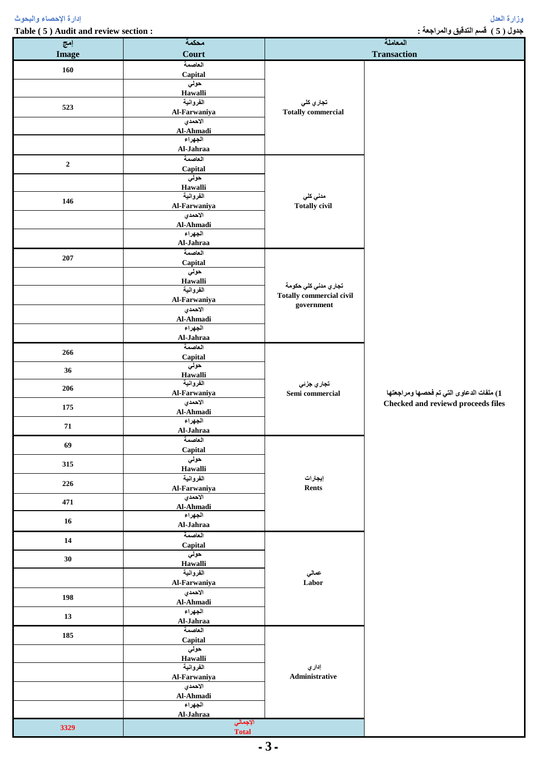**Table ( 5 ) Audit and review section : : والمراجعة التدقيق قسم ( 5 ) جدول**

| إمج              | محكمة                                              | المعاملة                                              |                                                                                |  |
|------------------|----------------------------------------------------|-------------------------------------------------------|--------------------------------------------------------------------------------|--|
| <b>Image</b>     | <b>Court</b>                                       |                                                       | <b>Transaction</b>                                                             |  |
| 160              | العاصمة<br>Capital<br>حولي<br>Hawalli<br>الفروانية |                                                       |                                                                                |  |
| 523              | Al-Farwaniya<br>الاحمدي<br>Al-Ahmadi<br>الجهراء    | تجاري كلي<br><b>Totally commercial</b>                |                                                                                |  |
|                  | Al-Jahraa<br>العاصمة                               |                                                       |                                                                                |  |
| $\boldsymbol{2}$ | Capital<br>حولي<br>Hawalli                         |                                                       |                                                                                |  |
| 146              | الفروانية<br>Al-Farwaniya<br>الاحمدي<br>Al-Ahmadi  | مدني كلي<br><b>Totally civil</b>                      |                                                                                |  |
|                  | الجهراء<br>Al-Jahraa<br>العاصمة                    |                                                       |                                                                                |  |
| ${\bf 207}$      | Capital<br>حولي<br>Hawalli<br>الفروانية            | تجا <i>ر ي</i> مدن <i>ي</i> كل <i>ي</i> حكومة         |                                                                                |  |
|                  | Al-Farwaniya<br>الاحمدي<br>Al-Ahmadi               | <b>Totally commercial civil</b><br>${\bf government}$ |                                                                                |  |
|                  | الجهراء<br>Al-Jahraa                               |                                                       |                                                                                |  |
| 266              | العاصمة<br>Capital<br>حولي                         |                                                       |                                                                                |  |
| 36               | Hawalli<br>الفروانية                               | تجاري جزئي                                            |                                                                                |  |
| 206              | Al-Farwaniya<br>الاحمدي                            | Semi commercial                                       | 1) ملفات الدعاوى التي تم فحصها ومراجعتها<br>Checked and reviewd proceeds files |  |
| 175<br>71        | $AI-Ahmadi$<br>الجهراء<br>Al-Jahraa                |                                                       |                                                                                |  |
| 69               | العاصمة<br>Capital                                 |                                                       |                                                                                |  |
| 315              | حولي<br>Hawalli                                    |                                                       |                                                                                |  |
| 226              | الفروانية<br>Al-Farwaniya                          | إيجارات<br>Rents                                      |                                                                                |  |
| 471              | الاحمدي<br>Al-Ahmadi<br>الجهراء                    |                                                       |                                                                                |  |
| $16\phantom{.}$  | Al-Jahraa<br>العاصمة                               |                                                       |                                                                                |  |
| 14               | Capital<br>حولي                                    |                                                       |                                                                                |  |
| 30               | Hawalli<br>الفروانية                               | عمالي                                                 |                                                                                |  |
| 198              | Al-Farwaniya<br>الاحمدي                            | Labor                                                 |                                                                                |  |
| 13               | $AI-Ahmadi$<br>الجهراء                             |                                                       |                                                                                |  |
| 185              | Al-Jahraa<br>العاصمة                               |                                                       |                                                                                |  |
|                  | Capital<br>حولي                                    |                                                       |                                                                                |  |
|                  | Hawalli<br>الفروانية<br>Al-Farwaniya               | إداري<br>Administrative                               |                                                                                |  |
|                  | الاحمدي<br>Al-Ahmadi                               |                                                       |                                                                                |  |
|                  | الجهراء<br>Al-Jahraa                               |                                                       |                                                                                |  |
| 3329             | الإجمالي<br><b>Total</b>                           |                                                       |                                                                                |  |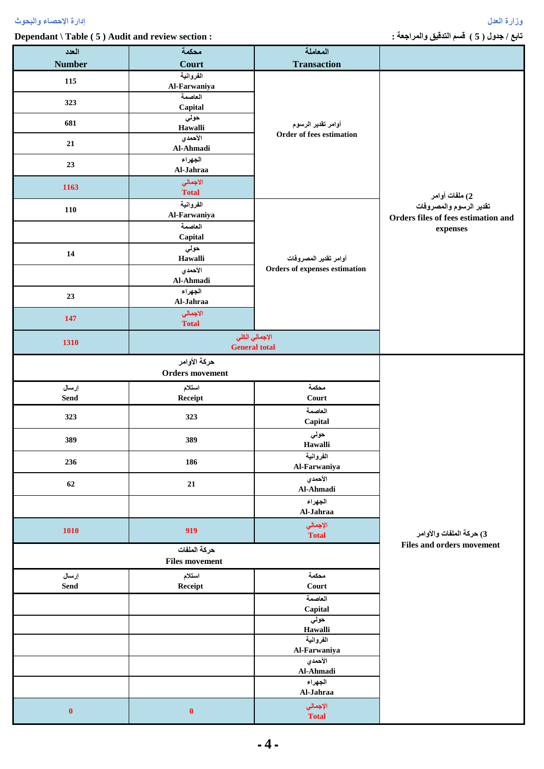**Dependant \ Table ( 5 ) Audit and review section : : والمراجعة التدقيق قسم ( 5 ) جدول / تابع**

| العدد         | محكمة                  | المعاملة                      |                                     |  |
|---------------|------------------------|-------------------------------|-------------------------------------|--|
| <b>Number</b> | Court                  | <b>Transaction</b>            |                                     |  |
| 115           | الفروانية              |                               |                                     |  |
|               | Al-Farwaniya           |                               |                                     |  |
| 323           | العاصمة                |                               |                                     |  |
|               | Capital                |                               |                                     |  |
| 681           | حولي<br>Hawalli        | أوامر تقدير الرسوم            |                                     |  |
|               | الأحمدي                | Order of fees estimation      |                                     |  |
| 21            | Al-Ahmadi              |                               |                                     |  |
|               | الجهراء                |                               |                                     |  |
| 23            | Al-Jahraa              |                               |                                     |  |
| 1163          | الاجمالي               |                               |                                     |  |
|               | <b>Total</b>           |                               | 2) ملفات أوامر                      |  |
| 110           | الفروانية              |                               | تقدير الرسوم والمصروفات             |  |
|               | Al-Farwaniya           |                               | Orders files of fees estimation and |  |
|               | العاصمة                |                               | expenses                            |  |
|               | Capital                |                               |                                     |  |
| 14            | حولي                   | أوامر تقدير المصروفات         |                                     |  |
|               | Hawalli<br>الأحمدي     | Orders of expenses estimation |                                     |  |
|               | Al-Ahmadi              |                               |                                     |  |
|               | الجهراء                |                               |                                     |  |
| 23            | Al-Jahraa              |                               |                                     |  |
|               | الاجمالي               |                               |                                     |  |
| 147           | <b>Total</b>           |                               |                                     |  |
|               |                        | الإجمالي الكلي                |                                     |  |
| 1310          | <b>General total</b>   |                               |                                     |  |
|               | حركة الأوامر           |                               |                                     |  |
|               | <b>Orders</b> movement |                               |                                     |  |
| إرسال         | استلام                 | محكمة                         |                                     |  |
| Send          | Receipt                | Court                         |                                     |  |
|               |                        | العاصمة                       |                                     |  |
| 323           | 323                    | Capital                       |                                     |  |
|               |                        | حولي                          |                                     |  |
| 389           | 389                    | Hawalli                       |                                     |  |
|               |                        | الفروانية                     |                                     |  |
| 236           | 186                    | Al-Farwaniya                  |                                     |  |
| 62            |                        |                               |                                     |  |
|               |                        | الأحمدي                       |                                     |  |
|               | ${\bf 21}$             | Al-Ahmadi                     |                                     |  |
|               |                        | الجهراء                       |                                     |  |
|               |                        | Al-Jahraa                     |                                     |  |
|               |                        | الإجمالي                      |                                     |  |
| <b>1010</b>   | 919                    | <b>Total</b>                  | 3) حركة الملفات والأوامر            |  |
|               | حركة الملفات           |                               | <b>Files and orders movement</b>    |  |
|               | <b>Files movement</b>  |                               |                                     |  |
| إرسال         | استلام                 | محكمة                         |                                     |  |
| Send          | Receipt                | Court                         |                                     |  |
|               |                        | العاصمة                       |                                     |  |
|               |                        | Capital                       |                                     |  |
|               |                        | حولي                          |                                     |  |
|               |                        | Hawalli                       |                                     |  |
|               |                        | الفروانية                     |                                     |  |
|               |                        | Al-Farwaniya                  |                                     |  |
|               |                        | الأحمدي<br>Al-Ahmadi          |                                     |  |
|               |                        | الجهراء                       |                                     |  |
|               |                        | Al-Jahraa                     |                                     |  |
| $\pmb{0}$     | $\pmb{0}$              | الإجمالي                      |                                     |  |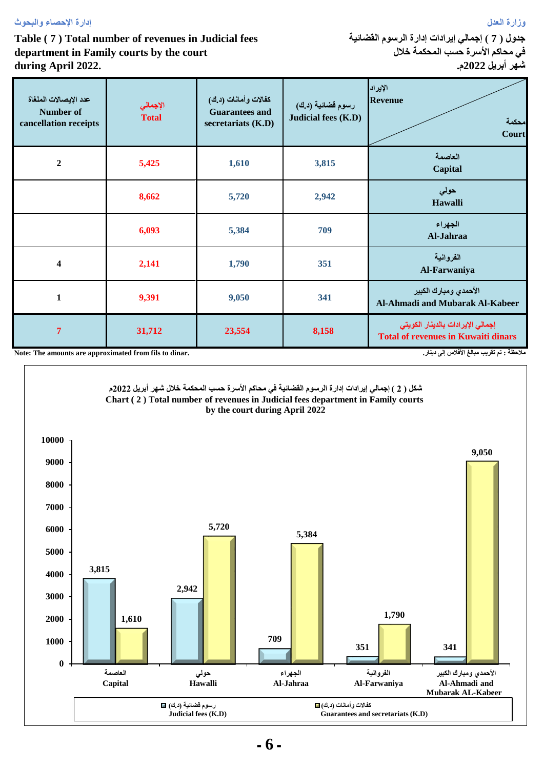## **وزارة العدل إدارة اإلحصاء والبحوث**

## **Table ( 7 ) Total number of revenues in Judicial fees department in Family courts by the court during April 2022.**

**جدول ) 7 ( إجمالي إيرادات إدارة الرسوم القضائية في محاكم األسرة حسب المحكمة خالل شهر أبريل 2022م.**

| عدد الإيصالات الملغاة<br><b>Number of</b><br>cancellation receipts                                   | الإجمالي<br><b>Total</b> | كفالات وأمانات (د.ك)<br><b>Guarantees and</b><br>secretariats (K.D) | رسوم قضائية (د.ك)<br>Judicial fees (K.D) | الإيراد<br><b>Revenue</b><br>محكمة<br>Court                                     |  |  |
|------------------------------------------------------------------------------------------------------|--------------------------|---------------------------------------------------------------------|------------------------------------------|---------------------------------------------------------------------------------|--|--|
| $\mathbf{2}$                                                                                         | 5,425                    | 1,610                                                               | 3,815                                    | العاصمة<br>Capital                                                              |  |  |
|                                                                                                      | 8,662                    | 5,720                                                               | 2,942                                    | حولى<br>Hawalli                                                                 |  |  |
|                                                                                                      | 6,093                    | 5,384                                                               | 709                                      | الجهراء<br>Al-Jahraa                                                            |  |  |
| $\overline{\mathbf{4}}$                                                                              | 2,141                    | 1,790                                                               | 351                                      | الفروانية<br>Al-Farwaniya                                                       |  |  |
| $\mathbf{1}$                                                                                         | 9,391                    | 9,050                                                               | 341                                      | الأحمدي ومبارك الكبير<br>Al-Ahmadi and Mubarak Al-Kabeer                        |  |  |
| $\overline{7}$                                                                                       | 31,712                   | 23,554                                                              | 8,158                                    | إجمالي الإيرادات بالدينار الكويتي<br><b>Total of revenues in Kuwaiti dinars</b> |  |  |
| ملاحظة : تم تقريب مبالغ الأفلاس إلى دينار.<br>Note: The amounts are approximated from fils to dinar. |                          |                                                                     |                                          |                                                                                 |  |  |